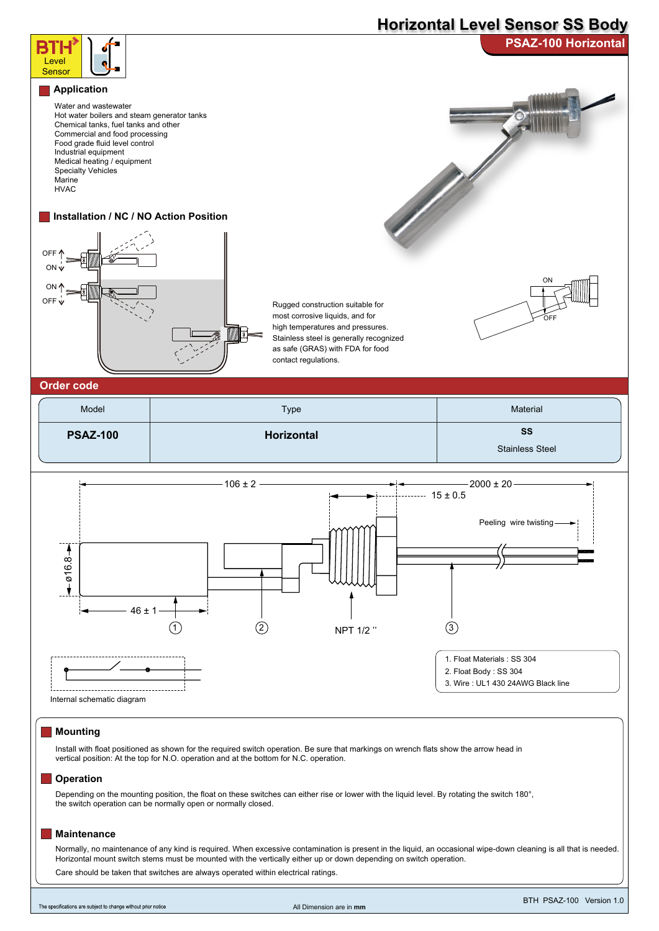# **Horizontal Level Sensor SS Body**



### **Mounting**

Install with float positioned as shown for the required switch operation. Be sure that markings on wrench flats show the arrow head in vertical position: At the top for N.O. operation and at the bottom for N.C. operation.

#### **Operation**

Depending on the mounting position, the float on these switches can either rise or lower with the liquid level. By rotating the switch 180°, the switch operation can be normally open or normally closed.

#### **Maintenance**

Normally, no maintenance of any kind is required. When excessive contamination is present in the liquid, an occasional wipe-down cleaning is all that is needed. Horizontal mount switch stems must be mounted with the vertically either up or down depending on switch operation. Care should be taken that switches are always operated within electrical ratings.